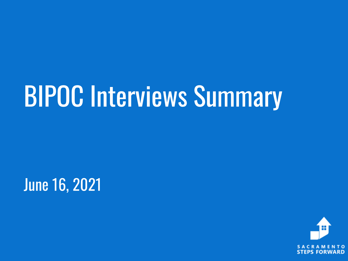# **BIPOC Interviews Summary**

**June 16, 2021** 

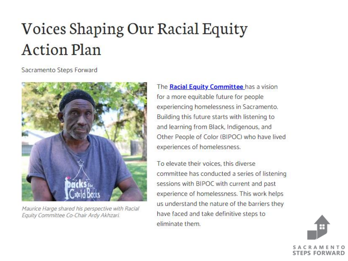## **Voices Shaping Our Racial Equity Action Plan**

Sacramento Steps Forward



Maurice Harge shared his perspective with Racial Equity Committee Co-Chair Ardy Akhzari.

The Racial Equity Committee has a vision for a more equitable future for people experiencing homelessness in Sacramento. Building this future starts with listening to and learning from Black, Indigenous, and Other People of Color (BIPOC) who have lived experiences of homelessness.

To elevate their voices, this diverse committee has conducted a series of listening sessions with BIPOC with current and past experience of homelessness. This work helps us understand the nature of the barriers they have faced and take definitive steps to eliminate them.

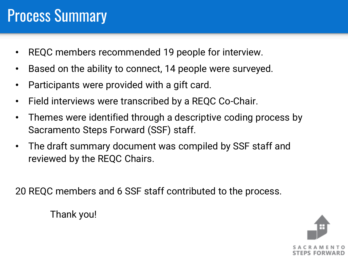## **Process Summary**

- REQC members recommended 19 people for interview.
- Based on the ability to connect, 14 people were surveyed.
- Participants were provided with a gift card.
- Field interviews were transcribed by a REQC Co-Chair.
- Themes were identified through a descriptive coding process by Sacramento Steps Forward (SSF) staff.
- The draft summary document was compiled by SSF staff and reviewed by the REQC Chairs.

20 REQC members and 6 SSF staff contributed to the process.



Thank you!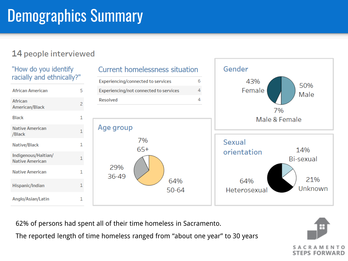## **Demographics Summary**

### 14 people interviewed



62% of persons had spent all of their time homeless in Sacramento.

The reported length of time homeless ranged from "about one year" to 30 years

C R STEPS FORWARD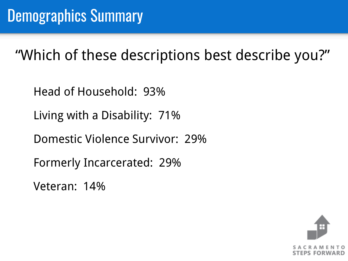"Which of these descriptions best describe you?"

Head of Household: 93%

Living with a Disability: 71%

Domestic Violence Survivor: 29%

Formerly Incarcerated: 29%

Veteran: 14%

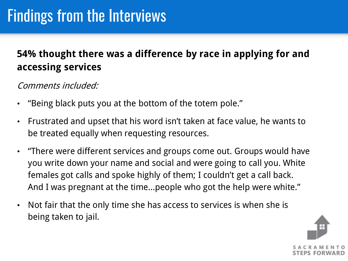## **54% thought there was a difference by race in applying for and accessing services**

### Comments included:

- "Being black puts you at the bottom of the totem pole."
- Frustrated and upset that his word isn't taken at face value, he wants to be treated equally when requesting resources.
- "There were different services and groups come out. Groups would have you write down your name and social and were going to call you. White females got calls and spoke highly of them; I couldn't get a call back. And I was pregnant at the time…people who got the help were white."
- Not fair that the only time she has access to services is when she is being taken to jail.

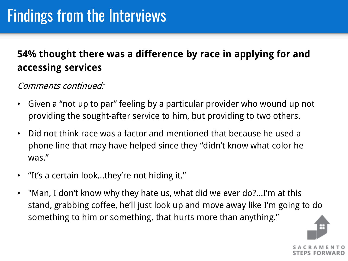## **54% thought there was a difference by race in applying for and accessing services**

Comments continued:

- Given a "not up to par" feeling by a particular provider who wound up not providing the sought-after service to him, but providing to two others.
- Did not think race was a factor and mentioned that because he used a phone line that may have helped since they "didn't know what color he was."
- "It's a certain look…they're not hiding it."
- "Man, I don't know why they hate us, what did we ever do?...I'm at this stand, grabbing coffee, he'll just look up and move away like I'm going to do something to him or something, that hurts more than anything."

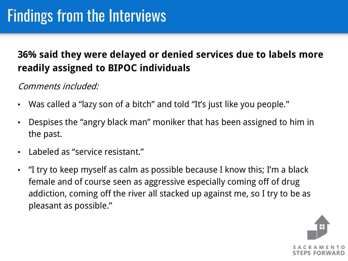## **36% said they were delayed or denied services due to labels more readily assigned to BIPOC individuals**

## Comments included:

- Was called a "lazy son of a bitch" and told "It's just like you people."
- Despises the "angry black man" moniker that has been assigned to him in the past.
- Labeled as "service resistant."
- "I try to keep myself as calm as possible because I know this; I'm a black female and of course seen as aggressive especially coming off of drug addiction, coming off the river all stacked up against me, so I try to be as pleasant as possible."

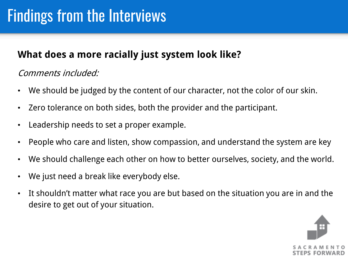## **What does a more racially just system look like?**

## Comments included:

- We should be judged by the content of our character, not the color of our skin.
- Zero tolerance on both sides, both the provider and the participant.
- Leadership needs to set a proper example.
- People who care and listen, show compassion, and understand the system are key
- We should challenge each other on how to better ourselves, society, and the world.
- We just need a break like everybody else.
- It shouldn't matter what race you are but based on the situation you are in and the desire to get out of your situation.

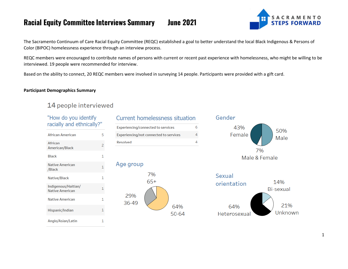

The Sacramento Continuum of Care Racial Equity Committee (REQC) established a goal to better understand the local Black Indigenous & Persons of Color (BIPOC) homelessness experience through an interview process.

REQC members were encouraged to contribute names of persons with current or recent past experience with homelessness, who might be willing to be interviewed. 19 people were recommended for interview.

Based on the ability to connect, 20 REQC members were involved in surveying 14 people. Participants were provided with a gift card.

#### **Participant Demographics Summary**

#### 14 people interviewed

"How do you identify

| racially and ethnically?"                     |                |  |
|-----------------------------------------------|----------------|--|
| <b>African American</b>                       | 5              |  |
| African<br>American/Black                     | $\overline{c}$ |  |
| <b>Black</b>                                  | 1              |  |
| <b>Native American</b><br>/Black              | 1              |  |
| Native/Black                                  | 1              |  |
| Indigenous/Haitian/<br><b>Native American</b> | 1              |  |
| Native American                               | 1              |  |
| Hispanic/Indian                               | 1              |  |
| Anglo/Asian/Latin                             | 1              |  |

#### Current homelessness situation 6 Experiencing/connected to services Experiencing/not connected to services  $\overline{4}$  $\overline{4}$ Resolved

#### Age group





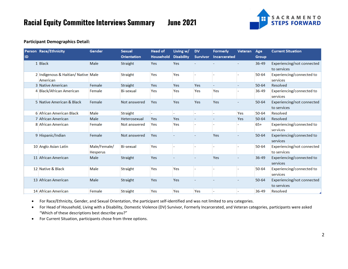**June 2021** 



#### **Participant Demographics Detail:**

|           | Person Race/Ethnicity                           | Gender                   | <b>Sexual</b>      | <b>Head of</b> | Living w/         | <b>DV</b>       | <b>Formerly</b> | Veteran | Age          | <b>Current Situation</b>                  |
|-----------|-------------------------------------------------|--------------------------|--------------------|----------------|-------------------|-----------------|-----------------|---------|--------------|-------------------------------------------|
| <b>ID</b> |                                                 |                          | <b>Orientation</b> | Household      | <b>Disability</b> | <b>Survivor</b> | Incarcerated    |         | <b>Group</b> |                                           |
|           | 1 Black                                         | Male                     | Straight           | Yes            | Yes               |                 |                 |         | 36-49        | Experiencing/not connected                |
|           |                                                 |                          |                    |                |                   |                 |                 |         |              | to services                               |
|           | 2 Indigenous & Haitian/ Native Male<br>American |                          | Straight           | Yes            | Yes               |                 |                 |         | $50 - 64$    | Experiencing/connected to<br>services     |
|           | 3 Native American                               | Female                   | Straight           | Yes            | Yes               | Yes             |                 |         | $50 - 64$    | Resolved                                  |
|           | 4 Black/African American                        | Female                   | <b>Bi-sexual</b>   | Yes            | Yes               | Yes             | Yes             |         | $36 - 49$    | Experiencing/connected to<br>services     |
|           | 5 Native American & Black                       | Female                   | Not answered       | Yes            | Yes               | Yes             | Yes             |         | $50 - 64$    | Experiencing/not connected<br>to services |
|           | 6 African American Black                        | Male                     | Straight           |                |                   |                 |                 | Yes     | $50 - 64$    | Resolved                                  |
|           | 7 African American                              | Male                     | Heterosexual       | Yes            | Yes               |                 |                 | Yes     | $50 - 64$    | Resolved                                  |
|           | 8 African American                              | Female                   | Not answered       | Yes            | Yes               |                 |                 |         | $65+$        | Experiencing/connected to<br>services     |
|           | 9 Hispanic/Indian                               | Female                   | Not answered       | Yes            |                   |                 | Yes             |         | $50 - 64$    | Experiencing/connected to<br>services     |
|           | 10 Anglo Asian Latin                            | Male/Female/<br>Hesperus | <b>Bi-sexual</b>   | Yes            |                   |                 |                 |         | $50 - 64$    | Experiencing/not connected<br>to services |
|           | 11 African American                             | Male                     | Straight           | Yes            |                   |                 | Yes             |         | $36 - 49$    | Experiencing/connected to<br>services     |
|           | 12 Native & Black                               | Male                     | Straight           | Yes            | Yes               |                 |                 |         | $50 - 64$    | Experiencing/connected to<br>services     |
|           | 13 African American                             | Male                     | <b>Straight</b>    | Yes            | Yes               |                 |                 |         | $50 - 64$    | Experiencing/not connected<br>to services |
|           | 14 African American                             | Female                   | <b>Straight</b>    | Yes            | Yes               | Yes             |                 |         | 36-49        | Resolved                                  |

• For Race/Ethnicity, Gender, and Sexual Orientation, the participant self-identified and was not limited to any categories.

• For Head of Household, Living with a Disability, Domestic Violence (DV) Survivor, Formerly Incarcerated, and Veteran categories, participants were asked "Which of these descriptions best describe you?"

• For Current Situation, participants chose from three options.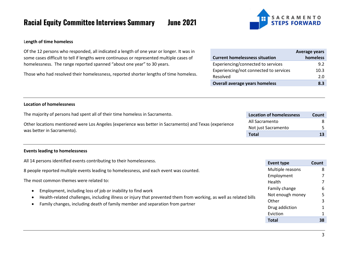**SACRAMENTO STEPS FORWARD** 

#### L**ength of time homeless**

Of the 12 persons who responded, all indicated a length of one year or longer. It was in some cases difficult to tell if lengths were continuous or represented multiple cases of homelessness. The range reported spanned "about one year" to 30 years.

Those who had resolved their homelessness, reported shorter lengths of time homeless.

| <b>Current homelessness situation</b>  | <b>Average years</b><br>homeless |
|----------------------------------------|----------------------------------|
| Experiencing/connected to services     | 9.2                              |
| Experiencing/not connected to services | 10.3                             |
| Resolved                               | 2.0                              |
| <b>Overall average years homeless</b>  | 8.3                              |

#### **Location of homelessness**

| The majority of persons had spent all of their time homeless in Sacramento.                            | <b>Location of homelessness</b> | <b>Count</b> |
|--------------------------------------------------------------------------------------------------------|---------------------------------|--------------|
| Other locations mentioned were Los Angeles (experience was better in Sacramento) and Texas (experience | All Sacramento                  |              |
| was better in Sacramento).                                                                             | Not just Sacramento             |              |
|                                                                                                        | <b>Total</b>                    |              |
|                                                                                                        |                                 |              |

#### **Events leading to homelessness**

| All 14 persons identified events contributing to their homelessness.                                              | Event type       | Count |
|-------------------------------------------------------------------------------------------------------------------|------------------|-------|
| 8 people reported multiple events leading to homelessness, and each event was counted.                            | Multiple reasons | 8     |
|                                                                                                                   |                  |       |
| The most common themes were related to:                                                                           | Health           |       |
| Employment, including loss of job or inability to find work<br>$\bullet$                                          | Family change    | 6     |
| Health-related challenges, including illness or injury that prevented them from working, as well as related bills | Not enough money |       |
| Family changes, including death of family member and separation from partner                                      | Other            |       |
| $\bullet$                                                                                                         | Drug addiction   |       |
|                                                                                                                   | Eviction         |       |
|                                                                                                                   | <b>Total</b>     | 38    |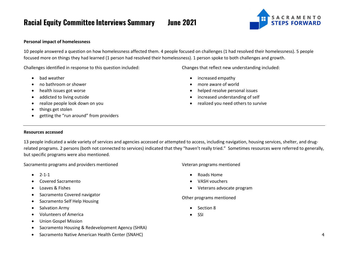SACRAMENTO<br>STEPS FORWARD

#### **Personal impact of homelessness**

10 people answered a question on how homelessness affected them. 4 people focused on challenges (1 had resolved their homelessness). 5 people focused more on things they had learned (1 person had resolved their homelessness). 1 person spoke to both challenges and growth.

Challenges identified in response to this question included:

- bad weather
- no bathroom or shower
- health issues got worse
- addicted to living outside
- realize people look down on you
- things get stolen
- getting the "run around" from providers

Changes that reflect new understanding included:

- increased empathy
- more aware of world
- helped resolve personal issues
- increased understanding of self
- realized you need others to survive

#### **Resources accessed**

13 people indicated a wide variety of services and agencies accessed or attempted to access, including navigation, housing services, shelter, and drugrelated programs. 2 persons (both not connected to services) indicated that they "haven't really tried." Sometimes resources were referred to generally, but specific programs were also mentioned.

Sacramento programs and providers mentioned

- $2 1 1$
- Covered Sacramento
- Loaves & Fishes
- Sacramento Covered navigator
- Sacramento Self Help Housing
- Salvation Army
- Volunteers of America
- Union Gospel Mission
- Sacramento Housing & Redevelopment Agency (SHRA)
- Sacramento Native American Health Center (SNAHC)

Veteran programs mentioned

- Roads Home
- VASH vouchers
- Veterans advocate program

Other programs mentioned

- Section 8
- SSI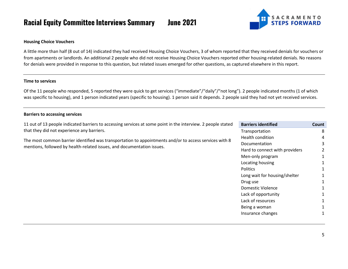**Iune 2021** 



#### **Housing Choice Vouchers**

A little more than half (8 out of 14) indicated they had received Housing Choice Vouchers, 3 of whom reported that they received denials for vouchers or from apartments or landlords. An additional 2 people who did not receive Housing Choice Vouchers reported other housing-related denials. No reasons for denials were provided in response to this question, but related issues emerged for other questions, as captured elsewhere in this report.

#### **Time to services**

Of the 11 people who responded, 5 reported they were quick to get services ("immediate"/"daily"/"not long"). 2 people indicated months (1 of which was specific to housing), and 1 person indicated years (specific to housing). 1 person said it depends. 2 people said they had not yet received services.

#### **Barriers to accessing services**

11 out of 13 people indicated barriers to accessing services at some point in the interview. 2 people stated that they did not experience any barriers.

The most common barrier identified was transportation to appointments and/or to access services with 8 mentions, followed by health-related issues, and documentation issues.

| <b>Barriers identified</b>     | Count         |
|--------------------------------|---------------|
| Transportation                 | 8             |
| Health condition               | Δ             |
| Documentation                  | 3             |
| Hard to connect with providers | $\mathcal{P}$ |
| Men-only program               | 1             |
| Locating housing               | 1             |
| <b>Politics</b>                | 1             |
| Long wait for housing/shelter  | 1             |
| Drug use                       | 1             |
| Domestic Violence              | 1             |
| Lack of opportunity            | 1             |
| Lack of resources              | 1             |
| Being a woman                  | 1             |
| Insurance changes              | 1             |
|                                |               |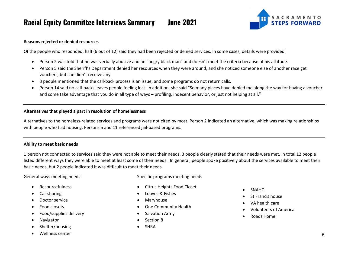

#### R**easons rejected or denied resources**

Of the people who responded, half (6 out of 12) said they had been rejected or denied services. In some cases, details were provided.

- Person 2 was told that he was verbally abusive and an "angry black man" and doesn't meet the criteria because of his attitude.
- Person 5 said the Sheriff's Department denied her resources when they were around, and she noticed someone else of another race get vouchers, but she didn't receive any.
- 3 people mentioned that the call-back process is an issue, and some programs do not return calls.
- Person 14 said no call-backs leaves people feeling lost. In addition, she said "So many places have denied me along the way for having a voucher and some take advantage that you do in all type of ways – profiling, indecent behavior, or just not helping at all."

#### **Alternatives that played a part in resolution of homelessness**

Alternatives to the homeless-related services and programs were not cited by most. Person 2 indicated an alternative, which was making relationships with people who had housing. Persons 5 and 11 referenced jail-based programs.

#### **Ability to meet basic needs**

1 person not connected to services said they were not able to meet their needs. 3 people clearly stated that their needs were met. In total 12 people listed different ways they were able to meet at least some of their needs. In general, people spoke positively about the services available to meet their basic needs, but 2 people indicated it was difficult to meet their needs.

General ways meeting needs

Specific programs meeting needs

- Resourcefulness
- Car sharing
- Doctor service
- Food closets
- Food/supplies delivery
- **Navigator**
- Shelter/housing
- Wellness center
- Citrus Heights Food Closet
- Loaves & Fishes
- Maryhouse
- One Community Health
- Salvation Army
- Section 8
- **SHRA**
- SNAHC
- St Francis house
- VA health care
- Volunteers of America
- Roads Home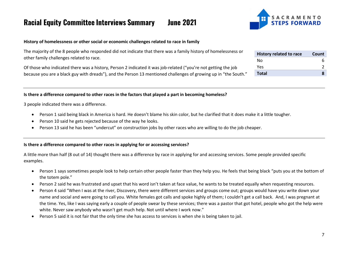

#### **History of homelessness or other social or economic challenges related to race in family**

| ss or  | History related to race | Count |
|--------|-------------------------|-------|
|        | Nο                      | h     |
| b      | Yes                     |       |
| outh." | <b>Total</b>            | 8     |

The majority of the 8 people who responded did not indicate that there was a family history of homelessnes other family challenges related to race.

Of those who indicated there was a history, Person 2 indicated it was job-related ("you're not getting the job because you are a black guy with dreads"), and the Person 13 mentioned challenges of growing up in "the South.

#### **Is there a difference compared to other races in the factors that played a part in becoming homeless?**

3 people indicated there was a difference.

- Person 1 said being black in America is hard. He doesn't blame his skin color, but he clarified that it does make it a little tougher.
- Person 10 said he gets rejected because of the way he looks.
- Person 13 said he has been "undercut" on construction jobs by other races who are willing to do the job cheaper.

#### **Is there a difference compared to other races in applying for or accessing services?**

A little more than half (8 out of 14) thought there was a difference by race in applying for and accessing services. Some people provided specific examples.

- Person 1 says sometimes people look to help certain other people faster than they help you. He feels that being black "puts you at the bottom of the totem pole."
- Person 2 said he was frustrated and upset that his word isn't taken at face value, he wants to be treated equally when requesting resources.
- Person 4 said "When I was at the river, Discovery, there were different services and groups come out; groups would have you write down your name and social and were going to call you. White females got calls and spoke highly of them; I couldn't get a call back. And, I was pregnant at the time. Yes, like I was saying early a couple of people swear by these services; there was a pastor that got hotel, people who got the help were white. Never saw anybody who wasn't get much help. Not until where I work now."
- Person 5 said it is not fair that the only time she has access to services is when she is being taken to jail.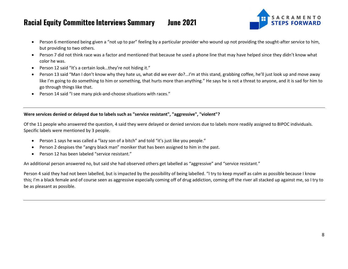

- Person 6 mentioned being given a "not up to par" feeling by a particular provider who wound up not providing the sought-after service to him, but providing to two others.
- Person 7 did not think race was a factor and mentioned that because he used a phone line that may have helped since they didn't know what color he was.
- Person 12 said "It's a certain look…they're not hiding it."
- Person 13 said "Man I don't know why they hate us, what did we ever do?...I'm at this stand, grabbing coffee, he'll just look up and move away like I'm going to do something to him or something, that hurts more than anything." He says he is not a threat to anyone, and it is sad for him to go through things like that.
- Person 14 said "I see many pick-and-choose situations with races."

#### **Were services denied or delayed due to labels such as "service resistant", "aggressive", "violent"?**

Of the 11 people who answered the question, 4 said they were delayed or denied services due to labels more readily assigned to BIPOC individuals. Specific labels were mentioned by 3 people.

- Person 1 says he was called a "lazy son of a bitch" and told "it's just like you people."
- Person 2 despises the "angry black man" moniker that has been assigned to him in the past.
- Person 12 has been labeled "service resistant."

An additional person answered no, but said she had observed others get labelled as "aggressive" and "service resistant."

Person 4 said they had not been labelled, but is impacted by the possibility of being labelled. "I try to keep myself as calm as possible because I know this; I'm a black female and of course seen as aggressive especially coming off of drug addiction, coming off the river all stacked up against me, so I try to be as pleasant as possible.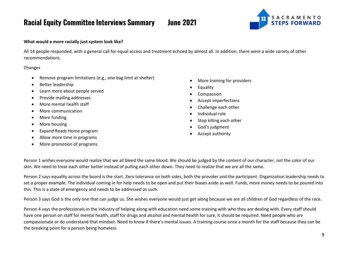SACRAMENTO<br>STEPS FORWARD

#### **What would a more racially just system look like?**

All 14 people responded, with a general call for equal access and treatment echoed by almost all. In addition, there were a wide variety of other recommendations.

#### Changes

- Remove program limitations (e.g., one bag limit at shelter)
- Better leadership
- Learn more about people served
- Provide mailing addresses
- More mental health staff
- More communication
- More funding
- More housing
- Expand Roads Home program
- Allow more time in programs
- More promotion of programs
- More training for providers
- Equality
- **Compassion**
- Accept imperfections
- Challenge each other
- Individual role
- Stop killing each other
- God's judgment
- Accept authority

Person 1 wishes everyone would realize that we all bleed the same blood. We should be judged by the content of our character, not the color of our skin. We need to treat each other better instead of pulling each other down. They need to realize that we are all the same.

Person 2 says equality across the board is the start. Zero tolerance on both sides, both the provider and the participant. Organization leadership needs to set a proper example. The individual coming in for help needs to be open and put their biases aside as well. Funds, more money needs to be poured into this. This is a state of emergency and needs to be addressed as such.

Person 3 says God is the only one that can judge us. She wishes everyone would just get along because we are all children of God regardless of the race.

Person 4 says the professionals in the industry of helping along with education need some training with who they are dealing with. Every staff should have one person on staff for mental health, staff for drugs and alcohol and mental health for sure, it should be required. Need people who are compassionate or do understand that mindset. Need to know if there's mental issues. A training course once a month for the staff because they can be the breaking point for a person being homeless